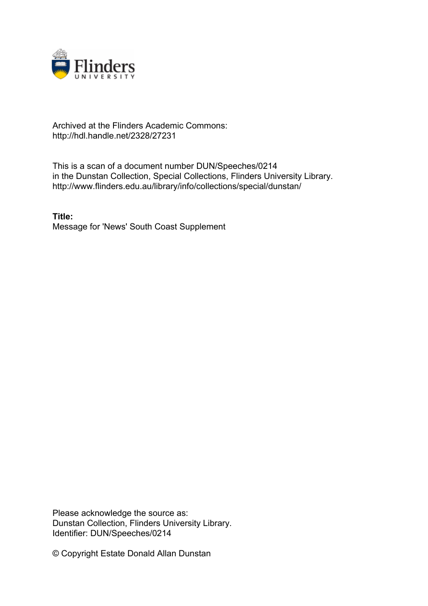

## Archived at the Flinders Academic Commons: http://hdl.handle.net/2328/27231

This is a scan of a document number DUN/Speeches/0214 in the Dunstan Collection, Special Collections, Flinders University Library. http://www.flinders.edu.au/library/info/collections/special/dunstan/

**Title:** Message for 'News' South Coast Supplement

Please acknowledge the source as: Dunstan Collection, Flinders University Library. Identifier: DUN/Speeches/0214

© Copyright Estate Donald Allan Dunstan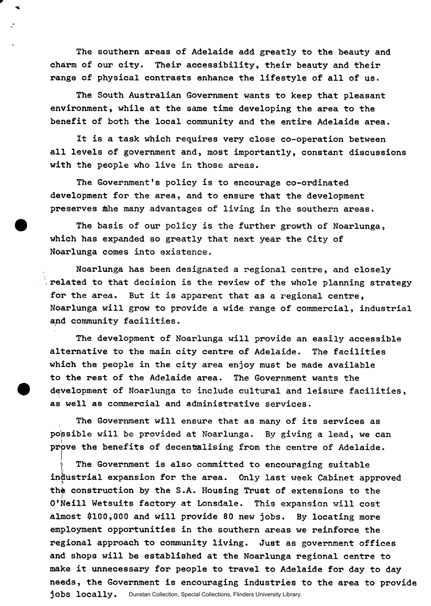**The southern areas of Adelaide add greatly to the beauty and charm of our city. Their accessibility, their beauty and their range of physical contrasts enhance the lifestyle of all of us.** 

**The South Australian Government wants to keep that pleasant environment, while at the same time developing the area to the benefit of both the local community and the entire Adelaide area.** 

**It is a task which requires very close co-operation between all levels of government and, most importantly, constant discussions with the people who live in those areas.** 

**The Government's policy is to encourage co-ordinated development for the area, and to ensure that the development preserves ibhe many advantages of living in the southern areas.** 

**The basis of our policy is the further growth of Noarlunga, which has expanded so greatly that next year the City of Noarlunga comes into existence.** 

**Noarlunga has been designated a regional centre, and closely \ related to that decision is the review of the whole planning strategy for the area. But it is apparent that as a regional centre, Noarlunga will grow to provide a wide range of commercial, industrial and community facilities.** 

**The development of Noarlunga will provide an easily accessible alternative to the main city centre of Adelaide. The facilities which the people in the city area enjoy must be made available to the rest of the Adelaide area. The Government wants the development of Noarlunga to include cultural and leisure facilities, as well as commercial and administrative services.** 

**The Government will ensure that as many of its services as possible will be provided at Noarlunga. By giving a lead, we can prove the benefits of decentalising from the centre of Adelaide.** 

The Government is also committed to encouraging suitable **industrial expansion for the area. Only last week Cabinet approved**  the construction by the S.A. Housing Trust of extensions to the **O'Neill Wetsuits factory at Lonsdale. This expansion will cost almost \$100,000 and will provide 80 new jobs. By locating more employment opportunities in the southern areas we reinforce the regional approach to community living. Just as government offices and shops will be established at the Noarlunga regional centre to make it unnecessary for people to travel to Adelaide for day to day needs, the Government is encouraging industries to the area to provide jobs locally.** Dunstan Collection, Special Collections, Flinders University Library.